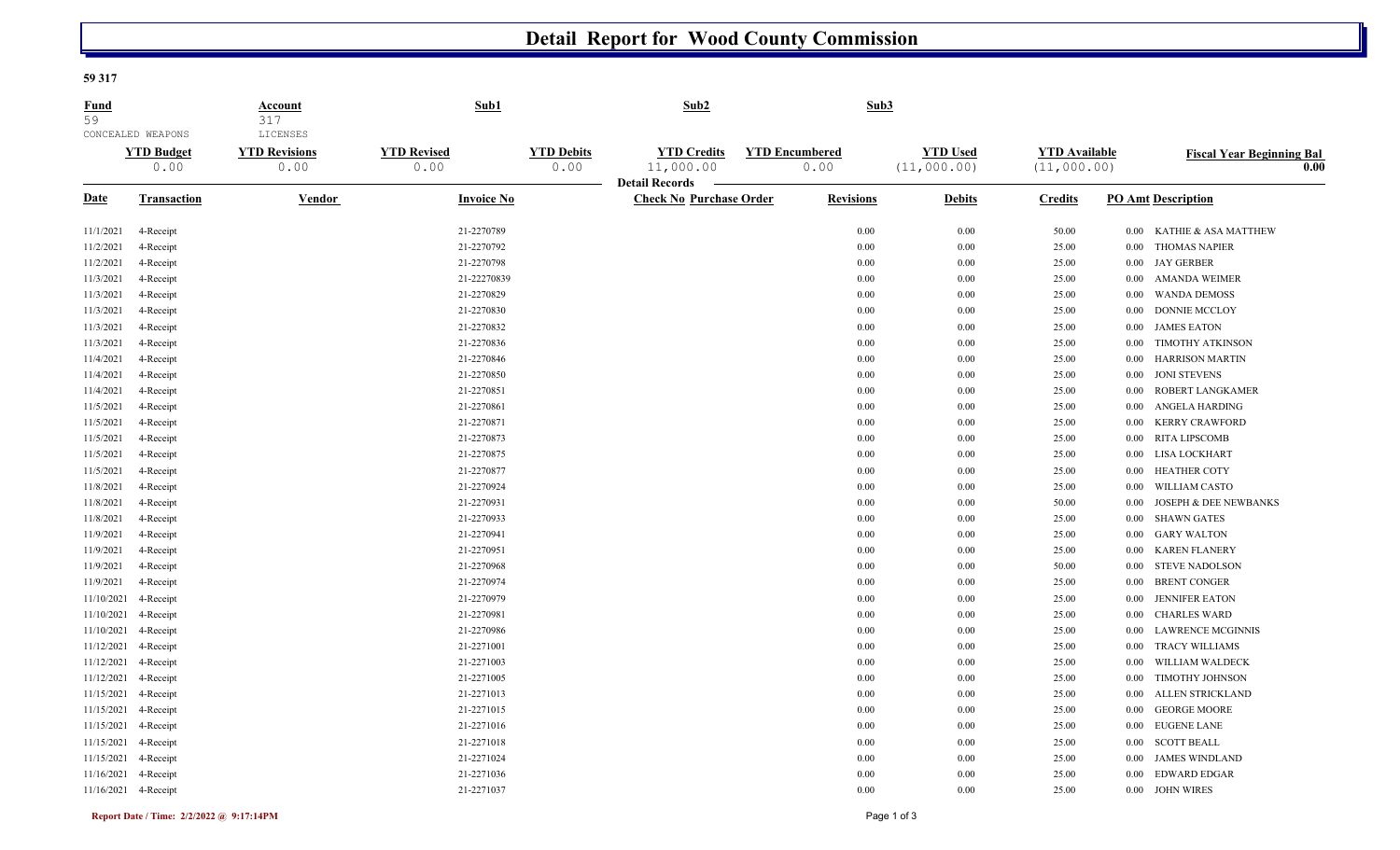## **Detail Report for Wood County Commission**

## **59 317**

| Fund<br>59  | CONCEALED WEAPONS         | <b>Account</b><br>317<br><b>LICENSES</b> | Sub1                       |                           | Sub2                                                    | Sub3                          |                                |                                     |          |                                          |
|-------------|---------------------------|------------------------------------------|----------------------------|---------------------------|---------------------------------------------------------|-------------------------------|--------------------------------|-------------------------------------|----------|------------------------------------------|
|             | <b>YTD Budget</b><br>0.00 | <b>YTD Revisions</b><br>0.00             | <b>YTD Revised</b><br>0.00 | <b>YTD Debits</b><br>0.00 | <b>YTD Credits</b><br>11,000.00                         | <b>YTD Encumbered</b><br>0.00 | <b>YTD Used</b><br>(11,000.00) | <b>YTD</b> Available<br>(11,000.00) |          | <b>Fiscal Year Beginning Bal</b><br>0.00 |
| <b>Date</b> | <b>Transaction</b>        | Vendor                                   | <b>Invoice No</b>          |                           | <b>Detail Records</b><br><b>Check No Purchase Order</b> | <b>Revisions</b>              | <b>Debits</b>                  | <b>Credits</b>                      |          | <b>PO Amt Description</b>                |
| 11/1/2021   | 4-Receipt                 |                                          | 21-2270789                 |                           |                                                         | 0.00                          | 0.00                           | 50.00                               | 0.00     | KATHIE & ASA MATTHEW                     |
| 11/2/2021   | 4-Receipt                 |                                          | 21-2270792                 |                           |                                                         | 0.00                          | 0.00                           | 25.00                               | 0.00     | <b>THOMAS NAPIER</b>                     |
| 11/2/2021   | 4-Receipt                 |                                          | 21-2270798                 |                           |                                                         | 0.00                          | 0.00                           | 25.00                               | 0.00     | <b>JAY GERBER</b>                        |
| 11/3/2021   | 4-Receipt                 |                                          | 21-22270839                |                           |                                                         | 0.00                          | 0.00                           | 25.00                               | 0.00     | <b>AMANDA WEIMER</b>                     |
| 11/3/2021   | 4-Receipt                 |                                          | 21-2270829                 |                           |                                                         | 0.00                          | 0.00                           | 25.00                               | 0.00     | <b>WANDA DEMOSS</b>                      |
| 11/3/2021   | 4-Receipt                 |                                          | 21-2270830                 |                           |                                                         | 0.00                          | 0.00                           | 25.00                               | $0.00\,$ | <b>DONNIE MCCLOY</b>                     |
| 11/3/2021   | 4-Receipt                 |                                          | 21-2270832                 |                           |                                                         | 0.00                          | 0.00                           | 25.00                               | 0.00     | <b>JAMES EATON</b>                       |
| 11/3/2021   | 4-Receipt                 |                                          | 21-2270836                 |                           |                                                         | 0.00                          | 0.00                           | 25.00                               | 0.00     | <b>TIMOTHY ATKINSON</b>                  |
| 11/4/2021   | 4-Receipt                 |                                          | 21-2270846                 |                           |                                                         | 0.00                          | 0.00                           | 25.00                               | 0.00     | <b>HARRISON MARTIN</b>                   |
| 11/4/2021   | 4-Receipt                 |                                          | 21-2270850                 |                           |                                                         | 0.00                          | 0.00                           | 25.00                               | $0.00\,$ | <b>JONI STEVENS</b>                      |
| 11/4/2021   | 4-Receipt                 |                                          | 21-2270851                 |                           |                                                         | 0.00                          | 0.00                           | 25.00                               | 0.00     | ROBERT LANGKAMER                         |
| 11/5/2021   | 4-Receipt                 |                                          | 21-2270861                 |                           |                                                         | 0.00                          | 0.00                           | 25.00                               | 0.00     | <b>ANGELA HARDING</b>                    |
| 11/5/2021   | 4-Receipt                 |                                          | 21-2270871                 |                           |                                                         | 0.00                          | 0.00                           | 25.00                               | 0.00     | <b>KERRY CRAWFORD</b>                    |
| 11/5/2021   | 4-Receipt                 |                                          | 21-2270873                 |                           |                                                         | 0.00                          | 0.00                           | 25.00                               | 0.00     | <b>RITA LIPSCOMB</b>                     |
| 11/5/2021   | 4-Receipt                 |                                          | 21-2270875                 |                           |                                                         | 0.00                          | 0.00                           | 25.00                               | 0.00     | LISA LOCKHART                            |
| 11/5/2021   | 4-Receipt                 |                                          | 21-2270877                 |                           |                                                         | 0.00                          | 0.00                           | 25.00                               | 0.00     | <b>HEATHER COTY</b>                      |
| 11/8/2021   | 4-Receipt                 |                                          | 21-2270924                 |                           |                                                         | 0.00                          | 0.00                           | 25.00                               | 0.00     | WILLIAM CASTO                            |
| 11/8/2021   | 4-Receipt                 |                                          | 21-2270931                 |                           |                                                         | 0.00                          | 0.00                           | 50.00                               | 0.00     | <b>JOSEPH &amp; DEE NEWBANKS</b>         |
| 11/8/2021   | 4-Receipt                 |                                          | 21-2270933                 |                           |                                                         | 0.00                          | 0.00                           | 25.00                               | 0.00     | <b>SHAWN GATES</b>                       |
| 11/9/2021   | 4-Receipt                 |                                          | 21-2270941                 |                           |                                                         | 0.00                          | 0.00                           | 25.00                               | 0.00     | <b>GARY WALTON</b>                       |
| 11/9/2021   | 4-Receipt                 |                                          | 21-2270951                 |                           |                                                         | 0.00                          | 0.00                           | 25.00                               | 0.00     | <b>KAREN FLANERY</b>                     |
| 11/9/2021   | 4-Receipt                 |                                          | 21-2270968                 |                           |                                                         | 0.00                          | 0.00                           | 50.00                               | 0.00     | <b>STEVE NADOLSON</b>                    |
| 11/9/2021   | 4-Receipt                 |                                          | 21-2270974                 |                           |                                                         | 0.00                          | 0.00                           | 25.00                               | 0.00     | <b>BRENT CONGER</b>                      |
| 11/10/2021  | 4-Receipt                 |                                          | 21-2270979                 |                           |                                                         | 0.00                          | 0.00                           | 25.00                               | 0.00     | <b>JENNIFER EATON</b>                    |
| 11/10/2021  | 4-Receipt                 |                                          | 21-2270981                 |                           |                                                         | 0.00                          | 0.00                           | 25.00                               | 0.00     | <b>CHARLES WARD</b>                      |
| 11/10/2021  | 4-Receipt                 |                                          | 21-2270986                 |                           |                                                         | 0.00                          | 0.00                           | 25.00                               | 0.00     | <b>LAWRENCE MCGINNIS</b>                 |
| 11/12/2021  | 4-Receipt                 |                                          | 21-2271001                 |                           |                                                         | 0.00                          | 0.00                           | 25.00                               | 0.00     | TRACY WILLIAMS                           |
| 11/12/2021  | 4-Receipt                 |                                          | 21-2271003                 |                           |                                                         | 0.00                          | 0.00                           | 25.00                               | 0.00     | WILLIAM WALDECK                          |
| 11/12/2021  | 4-Receipt                 |                                          | 21-2271005                 |                           |                                                         | 0.00                          | 0.00                           | 25.00                               | 0.00     | <b>TIMOTHY JOHNSON</b>                   |
| 11/15/2021  | 4-Receipt                 |                                          | 21-2271013                 |                           |                                                         | 0.00                          | 0.00                           | 25.00                               | $0.00\,$ | ALLEN STRICKLAND                         |
| 11/15/2021  | 4-Receipt                 |                                          | 21-2271015                 |                           |                                                         | 0.00                          | 0.00                           | 25.00                               | 0.00     | <b>GEORGE MOORE</b>                      |
| 11/15/2021  | 4-Receipt                 |                                          | 21-2271016                 |                           |                                                         | 0.00                          | 0.00                           | 25.00                               | $0.00\,$ | <b>EUGENE LANE</b>                       |
|             | 11/15/2021 4-Receipt      |                                          | 21-2271018                 |                           |                                                         | 0.00                          | 0.00                           | 25.00                               | 0.00     | <b>SCOTT BEALL</b>                       |
| 11/15/2021  | 4-Receipt                 |                                          | 21-2271024                 |                           |                                                         | 0.00                          | 0.00                           | 25.00                               | 0.00     | <b>JAMES WINDLAND</b>                    |
|             | 11/16/2021 4-Receipt      |                                          | 21-2271036                 |                           |                                                         | 0.00                          | 0.00                           | 25.00                               | 0.00     | <b>EDWARD EDGAR</b>                      |
|             | 11/16/2021 4-Receipt      |                                          | 21-2271037                 |                           |                                                         | 0.00                          | 0.00                           | 25.00                               | 0.00     | <b>JOHN WIRES</b>                        |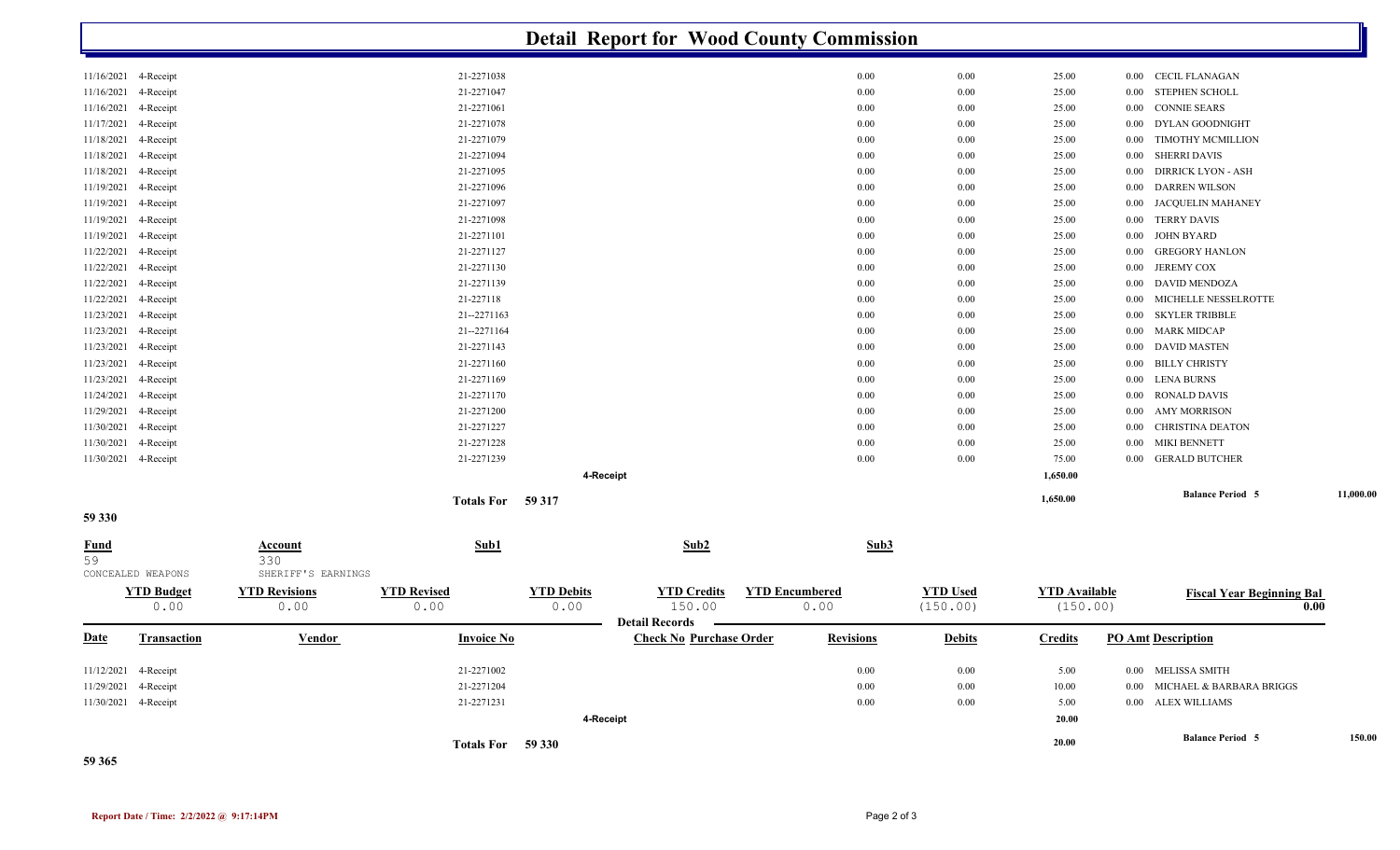|                   |                      |                                      |                    |                   |                                                         | <b>Detail Report for Wood County Commission</b> |                 |                      |                                      |           |
|-------------------|----------------------|--------------------------------------|--------------------|-------------------|---------------------------------------------------------|-------------------------------------------------|-----------------|----------------------|--------------------------------------|-----------|
| 11/16/2021        | 4-Receipt            |                                      | 21-2271038         |                   |                                                         | 0.00                                            | 0.00            | 25.00                | <b>CECIL FLANAGAN</b><br>$0.00\,$    |           |
| 11/16/2021        | 4-Receipt            |                                      | 21-2271047         |                   |                                                         | 0.00                                            | 0.00            | 25.00                | <b>STEPHEN SCHOLL</b><br>0.00        |           |
| 11/16/2021        | 4-Receipt            |                                      | 21-2271061         |                   |                                                         | 0.00                                            | 0.00            | 25.00                | <b>CONNIE SEARS</b><br>0.00          |           |
| 11/17/2021        | 4-Receipt            |                                      | 21-2271078         |                   |                                                         | 0.00                                            | 0.00            | 25.00                | DYLAN GOODNIGHT<br>0.00              |           |
| 11/18/2021        | 4-Receipt            |                                      | 21-2271079         |                   |                                                         | 0.00                                            | 0.00            | 25.00                | TIMOTHY MCMILLION<br>0.00            |           |
| 11/18/2021        | 4-Receipt            |                                      | 21-2271094         |                   |                                                         | 0.00                                            | 0.00            | 25.00                | <b>SHERRI DAVIS</b><br>0.00          |           |
| 11/18/2021        | 4-Receipt            |                                      | 21-2271095         |                   |                                                         | 0.00                                            | 0.00            | 25.00                | <b>DIRRICK LYON - ASH</b><br>0.00    |           |
| 11/19/2021        | 4-Receipt            |                                      | 21-2271096         |                   |                                                         | 0.00                                            | 0.00            | 25.00                | <b>DARREN WILSON</b><br>0.00         |           |
| 11/19/2021        | 4-Receipt            |                                      | 21-2271097         |                   |                                                         | 0.00                                            | 0.00            | 25.00                | <b>JACQUELIN MAHANEY</b><br>0.00     |           |
| 11/19/2021        | 4-Receipt            |                                      | 21-2271098         |                   |                                                         | 0.00                                            | 0.00            | 25.00                | <b>TERRY DAVIS</b><br>$0.00\,$       |           |
| 11/19/2021        | 4-Receipt            |                                      | 21-2271101         |                   |                                                         | 0.00                                            | 0.00            | 25.00                | JOHN BYARD<br>$0.00\,$               |           |
| 11/22/2021        | 4-Receipt            |                                      | 21-2271127         |                   |                                                         | 0.00                                            | 0.00            | 25.00                | <b>GREGORY HANLON</b><br>0.00        |           |
| 11/22/2021        | 4-Receipt            |                                      | 21-2271130         |                   |                                                         | 0.00                                            | 0.00            | 25.00                | <b>JEREMY COX</b><br>0.00            |           |
| 11/22/2021        | 4-Receipt            |                                      | 21-2271139         |                   |                                                         | 0.00                                            | 0.00            | 25.00                | DAVID MENDOZA<br>0.00                |           |
| 11/22/2021        | 4-Receipt            |                                      | 21-227118          |                   |                                                         | 0.00                                            | 0.00            | 25.00                | MICHELLE NESSELROTTE<br>0.00         |           |
| 11/23/2021        | 4-Receipt            |                                      | 21--2271163        |                   |                                                         | 0.00                                            | 0.00            | 25.00                | 0.00<br><b>SKYLER TRIBBLE</b>        |           |
| 11/23/2021        | 4-Receipt            |                                      | 21--2271164        |                   |                                                         | 0.00                                            | 0.00            | 25.00                | <b>MARK MIDCAP</b><br>$0.00\,$       |           |
| 11/23/2021        | 4-Receipt            |                                      | 21-2271143         |                   |                                                         | 0.00                                            | 0.00            | 25.00                | <b>DAVID MASTEN</b><br>0.00          |           |
| 11/23/2021        | 4-Receipt            |                                      | 21-2271160         |                   |                                                         | 0.00                                            | 0.00            | 25.00                | <b>BILLY CHRISTY</b><br>$0.00\,$     |           |
| 11/23/2021        | 4-Receipt            |                                      | 21-2271169         |                   |                                                         | 0.00                                            | 0.00            | 25.00                | <b>LENA BURNS</b><br>$0.00\,$        |           |
| 11/24/2021        | 4-Receipt            |                                      | 21-2271170         |                   |                                                         | 0.00                                            | 0.00            | 25.00                | <b>RONALD DAVIS</b><br>0.00          |           |
| 11/29/2021        | 4-Receipt            |                                      | 21-2271200         |                   |                                                         | 0.00                                            | 0.00            | 25.00                | <b>AMY MORRISON</b><br>$0.00\,$      |           |
| 11/30/2021        | 4-Receipt            |                                      | 21-2271227         |                   |                                                         | 0.00                                            | 0.00            | 25.00                | CHRISTINA DEATON<br>0.00             |           |
| 11/30/2021        | 4-Receipt            |                                      | 21-2271228         |                   |                                                         | 0.00                                            | 0.00            | 25.00                | MIKI BENNETT<br>$0.00\,$             |           |
|                   | 11/30/2021 4-Receipt |                                      | 21-2271239         |                   |                                                         | 0.00                                            | 0.00            | 75.00                | <b>GERALD BUTCHER</b><br>$0.00\,$    |           |
|                   |                      |                                      |                    |                   | 4-Receipt                                               |                                                 |                 | 1,650.00             |                                      |           |
| 59 330            |                      |                                      | Totals For 59 317  |                   |                                                         |                                                 |                 | 1,650.00             | <b>Balance Period 5</b>              | 11,000.00 |
|                   |                      |                                      |                    |                   |                                                         |                                                 |                 |                      |                                      |           |
| <b>Fund</b><br>59 | CONCEALED WEAPONS    | Account<br>330<br>SHERIFF'S EARNINGS | Sub1               |                   | Sub2                                                    | Sub3                                            |                 |                      |                                      |           |
|                   | <b>YTD Budget</b>    | <b>YTD Revisions</b>                 | <b>YTD Revised</b> | <b>YTD Debits</b> | <b>YTD Credits</b>                                      | <b>YTD Encumbered</b>                           | <b>YTD Used</b> | <b>YTD Available</b> |                                      |           |
|                   | 0.00                 | 0.00                                 | 0.00               | 0.00              | 150.00                                                  | 0.00                                            | (150.00)        | (150.00)             | <b>Fiscal Year Beginning Bal</b>     | 0.00      |
| Date              | <b>Transaction</b>   | <b>Vendor</b>                        | <b>Invoice No</b>  |                   | <b>Detail Records</b><br><b>Check No Purchase Order</b> | <b>Revisions</b>                                | <b>Debits</b>   | <b>Credits</b>       | <b>PO Amt Description</b>            |           |
|                   |                      |                                      |                    |                   |                                                         |                                                 |                 |                      |                                      |           |
|                   | 11/12/2021 4-Receipt |                                      | 21-2271002         |                   |                                                         | 0.00                                            | $0.00\,$        | 5.00                 | 0.00 MELISSA SMITH                   |           |
|                   | 11/29/2021 4-Receipt |                                      | 21-2271204         |                   |                                                         | 0.00                                            | 0.00            | 10.00                | MICHAEL & BARBARA BRIGGS<br>$0.00\,$ |           |
|                   | 11/30/2021 4-Receipt |                                      | 21-2271231         |                   |                                                         | 0.00                                            | $0.00\,$        | 5.00                 | 0.00 ALEX WILLIAMS                   |           |
|                   |                      |                                      |                    |                   | 4-Receipt                                               |                                                 |                 | 20.00                |                                      |           |
|                   |                      |                                      | Totals For 59 330  |                   |                                                         |                                                 |                 | 20.00                | <b>Balance Period 5</b>              | 150.00    |

**59 365**